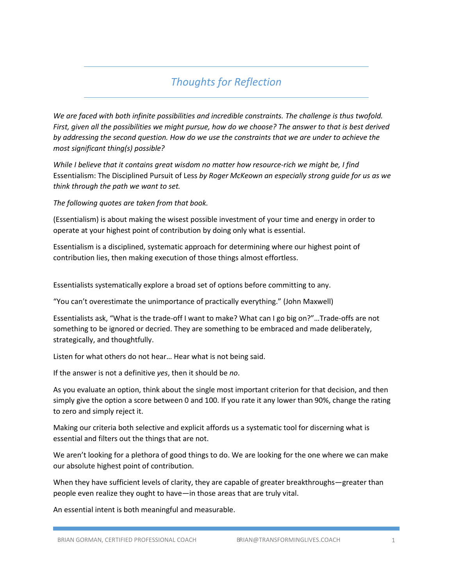## *Thoughts for Reflection*

*We are faced with both infinite possibilities and incredible constraints. The challenge is thus twofold. First, given all the possibilities we might pursue, how do we choose? The answer to that is best derived by addressing the second question. How do we use the constraints that we are under to achieve the most significant thing(s) possible?* 

*While I believe that it contains great wisdom no matter how resource-rich we might be, I find*  Essentialism: The Disciplined Pursuit of Less *by Roger McKeown an especially strong guide for us as we think through the path we want to set.* 

*The following quotes are taken from that book.* 

(Essentialism) is about making the wisest possible investment of your time and energy in order to operate at your highest point of contribution by doing only what is essential.

Essentialism is a disciplined, systematic approach for determining where our highest point of contribution lies, then making execution of those things almost effortless.

Essentialists systematically explore a broad set of options before committing to any.

"You can't overestimate the unimportance of practically everything." (John Maxwell)

Essentialists ask, "What is the trade-off I want to make? What can I go big on?"…Trade-offs are not something to be ignored or decried. They are something to be embraced and made deliberately, strategically, and thoughtfully.

Listen for what others do not hear… Hear what is not being said.

If the answer is not a definitive *yes*, then it should be *no*.

As you evaluate an option, think about the single most important criterion for that decision, and then simply give the option a score between 0 and 100. If you rate it any lower than 90%, change the rating to zero and simply reject it.

Making our criteria both selective and explicit affords us a systematic tool for discerning what is essential and filters out the things that are not.

We aren't looking for a plethora of good things to do. We are looking for the one where we can make our absolute highest point of contribution.

When they have sufficient levels of clarity, they are capable of greater breakthroughs—greater than people even realize they ought to have—in those areas that are truly vital.

An essential intent is both meaningful and measurable.